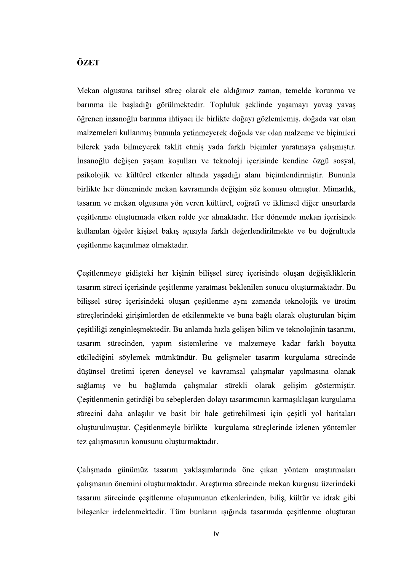## ÖZET

Mekan olgusuna tarihsel süreç olarak ele aldığımız zaman, temelde korunma ve barınma ile basladığı görülmektedir. Topluluk seklinde yasamayı yayas yayas öğrenen insanoğlu barınma ihtiyacı ile birlikte doğayı gözlemlemiş, doğada var olan malzemeleri kullanmış bununla yetinmeyerek doğada var olan malzeme ve biçimleri bilerek yada bilmeyerek taklit etmis yada farklı biçimler yaratmaya çalışmıştır. İnsanoğlu değişen yaşam koşulları ve teknoloji içerisinde kendine özgü sosyal, psikolojik ve kültürel etkenler altında yasadığı alanı biçimlendirmiştir. Bununla birlikte her döneminde mekan kavramında değişim söz konusu olmuştur. Mimarlık, tasarım ve mekan olgusuna yön veren kültürel, coğrafi ve iklimsel diğer unsurlarda çeşitlenme oluşturmada etken rolde yer almaktadır. Her dönemde mekan içerisinde kullanılan öğeler kişisel bakış açısıyla farklı değerlendirilmekte ve bu doğrultuda çeşitlenme kaçınılmaz olmaktadır.

Ceşitlenmeye gidişteki her kişinin bilişsel süreç içerisinde oluşan değişikliklerin tasarım süreci içerisinde çesitlenme yaratması beklenilen sonucu oluşturmaktadır. Bu bilişsel süreç içerisindeki oluşan çeşitlenme aynı zamanda teknolojik ve üretim süreçlerindeki girişimlerden de etkilenmekte ve buna bağlı olarak oluşturulan biçim çeşitliliği zenginleşmektedir. Bu anlamda hızla gelişen bilim ve teknolojinin tasarımı, tasarım sürecinden, yapım sistemlerine ve malzemeye kadar farklı boyutta etkilediğini söylemek mümkündür. Bu gelişmeler tasarım kurgulama sürecinde düşünsel üretimi içeren deneysel ve kavramsal çalışmalar yapılmasına olanak sağlamış ve bu bağlamda çalışmalar sürekli olarak gelişim göstermiştir. Cesitlenmenin getirdiği bu sebeplerden dolayı tasarımcının karmaşıklaşan kurgulama sürecini daha anlaşılır ve basit bir hale getirebilmesi için çeşitli yol haritaları oluşturulmuştur. Çeşitlenmeyle birlikte kurgulama süreçlerinde izlenen yöntemler tez çalışmasının konusunu oluşturmaktadır.

Çalışmada günümüz tasarım yaklaşımlarında öne çıkan yöntem araştırmaları çalışmanın önemini oluşturmaktadır. Araştırma sürecinde mekan kurgusu üzerindeki tasarım sürecinde çeşitlenme oluşumunun etkenlerinden, biliş, kültür ve idrak gibi bileşenler irdelenmektedir. Tüm bunların ışığında tasarımda çesitlenme oluşturan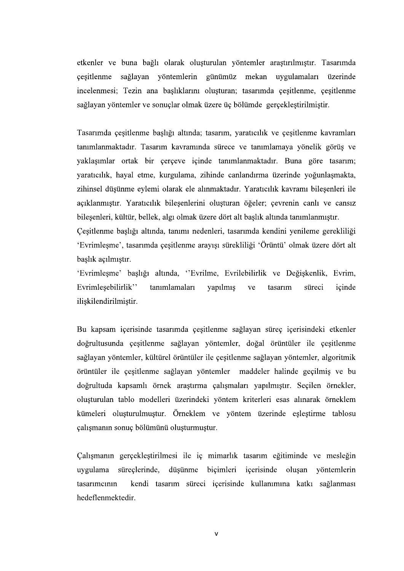etkenler ve buna bağlı olarak oluşturulan yöntemler araştırılmıştır. Tasarımda cesitlenme sağlayan yöntemlerin günümüz mekan uygulamaları üzerinde incelenmesi; Tezin ana başlıklarını oluşturan; tasarımda çeşitlenme, çeşitlenme sağlayan yöntemler ve sonuçlar olmak üzere üç bölümde gerçekleştirilmiştir.

Tasarımda çeşitlenme başlığı altında; tasarım, yaratıcılık ve çeşitlenme kavramları tanımlanmaktadır. Tasarım kavramında sürece ve tanımlamaya yönelik görüş ve yaklaşımlar ortak bir çerçeve içinde tanımlanmaktadır. Buna göre tasarım; varaticilik, haval etme, kurgulama, zihinde canlandırma üzerinde yoğunlaşmakta, zihinsel düşünme eylemi olarak ele alınmaktadır. Yaratıcılık kavramı bileşenleri ile açıklanmıştır. Yaratıcılık bileşenlerini oluşturan öğeler; çevrenin canlı ve cansız bileşenleri, kültür, bellek, algı olmak üzere dört alt başlık altında tanımlanmıştır.

Çeşitlenme başlığı altında, tanımı nedenleri, tasarımda kendini yenileme gerekliliği 'Evrimleşme', tasarımda çeşitlenme arayışı sürekliliği 'Örüntü' olmak üzere dört alt baslık açılmıştır.

'Evrimleşme' başlığı altında, ''Evrilme, Evrilebilirlik ve Değişkenlik, Evrim, Evrimlesebilirlik" tanımlamaları vapilmis ve tasarım süreci icinde ilişkilendirilmiştir.

Bu kapsam içerisinde tasarımda çeşitlenme sağlayan süreç içerisindeki etkenler doğrultusunda çeşitlenme sağlayan yöntemler, doğal örüntüler ile çeşitlenme sağlayan yöntemler, kültürel örüntüler ile çeşitlenme sağlayan yöntemler, algoritmik örüntüler ile çeşitlenme sağlayan yöntemler maddeler halinde geçilmiş ve bu doğrultuda kapsamlı örnek araştırma çalışmaları yapılmıştır. Seçilen örnekler, oluşturulan tablo modelleri üzerindeki yöntem kriterleri esas alınarak örneklem kümeleri oluşturulmuştur. Örneklem ve yöntem üzerinde eşleştirme tablosu çalışmanın sonuç bölümünü oluşturmuştur.

Çalışmanın gerçekleştirilmesi ile iç mimarlık tasarım eğitiminde ve mesleğin süreçlerinde, düşünme biçimleri icerisinde uygulama oluşan yöntemlerin tasarımcının kendi tasarım süreci içerisinde kullanımına katkı sağlanması hedeflenmektedir.

 $\mathbf v$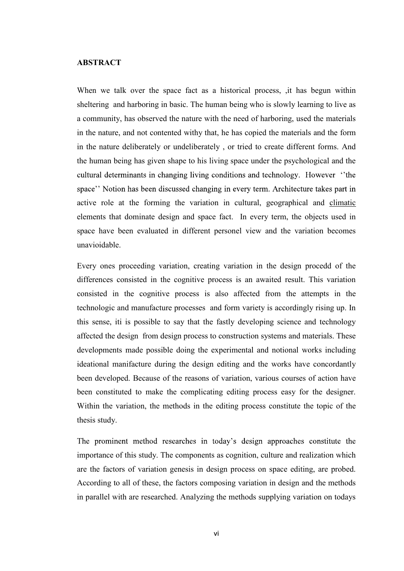## **ABSTRACT**

When we talk over the space fact as a historical process,  $\mu$  has begun within sheltering and harboring in basic. The human being who is slowly learning to live as a community, has observed the nature with the need of harboring, used the materials in the nature, and not contented withy that, he has copied the materials and the form in the nature deliberately or undeliberately , or tried to create different forms. And the human being has given shape to his living space under the psychological and the **ABSTRACT**<br>When we talk over the space fact as a historical process, , it has begun within<br>sheltering and harboring in basic. The human being who is slowly learning to live as<br>a community, has observed the nature with the ABSTRACT<br>When we talk over the space fact as a historical process, , it has begun within<br>sheltering and harboring in basic. The human being who is slowly learning to live as<br>a community, has observed the nature with the ne space have been evaluated in different personel view and the variation becomes unavioidable.

Every ones proceeding variation, creating variation in the design procedd of the differences consisted in the cognitive process is an awaited result. This variation consisted in the cognitive process is also affected from the attempts in the technologic and manufacture processes and form variety is accordingly rising up. In this sense, iti is possible to say that the fastly developing science and technology affected the design from design process to construction systems and materials. These developments made possible doing the experimental and notional works including ideational manifacture during the design editing and the works have concordantly been developed. Because of the reasons of variation, various courses of action have been constituted to make the complicating editing process easy for the designer. space nave been evaluated in dirterent personel view and the variation becomes<br>unavioidable.<br>Every ones proceeding variation, creating variation in the design procedd of the<br>differences consisted in the cognitive process i thesis study. this sense, it is possible to say that the fastly developing science and technology<br>affected the design from design process to construction systems and materials. These<br>developments made possible doing the experimental and

importance of this study. The components as cognition, culture and realization which are the factors of variation genesis in design process on space editing, are probed. According to all of these, the factors composing variation in design and the methods